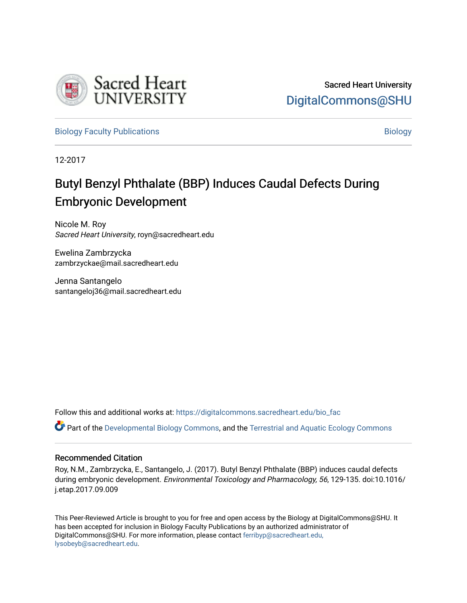

[Biology Faculty Publications](https://digitalcommons.sacredheart.edu/bio_fac) and the state of the state of the [Biology](https://digitalcommons.sacredheart.edu/bio) Biology

12-2017

# Butyl Benzyl Phthalate (BBP) Induces Caudal Defects During Embryonic Development

Nicole M. Roy Sacred Heart University, royn@sacredheart.edu

Ewelina Zambrzycka zambrzyckae@mail.sacredheart.edu

Jenna Santangelo santangeloj36@mail.sacredheart.edu

Follow this and additional works at: [https://digitalcommons.sacredheart.edu/bio\\_fac](https://digitalcommons.sacredheart.edu/bio_fac?utm_source=digitalcommons.sacredheart.edu%2Fbio_fac%2F128&utm_medium=PDF&utm_campaign=PDFCoverPages) 

Part of the [Developmental Biology Commons](http://network.bepress.com/hgg/discipline/11?utm_source=digitalcommons.sacredheart.edu%2Fbio_fac%2F128&utm_medium=PDF&utm_campaign=PDFCoverPages), and the [Terrestrial and Aquatic Ecology Commons](http://network.bepress.com/hgg/discipline/20?utm_source=digitalcommons.sacredheart.edu%2Fbio_fac%2F128&utm_medium=PDF&utm_campaign=PDFCoverPages)

### Recommended Citation

Roy, N.M., Zambrzycka, E., Santangelo, J. (2017). Butyl Benzyl Phthalate (BBP) induces caudal defects during embryonic development. Environmental Toxicology and Pharmacology, 56, 129-135. doi:10.1016/ j.etap.2017.09.009

This Peer-Reviewed Article is brought to you for free and open access by the Biology at DigitalCommons@SHU. It has been accepted for inclusion in Biology Faculty Publications by an authorized administrator of DigitalCommons@SHU. For more information, please contact [ferribyp@sacredheart.edu,](mailto:ferribyp@sacredheart.edu,%20lysobeyb@sacredheart.edu) [lysobeyb@sacredheart.edu](mailto:ferribyp@sacredheart.edu,%20lysobeyb@sacredheart.edu).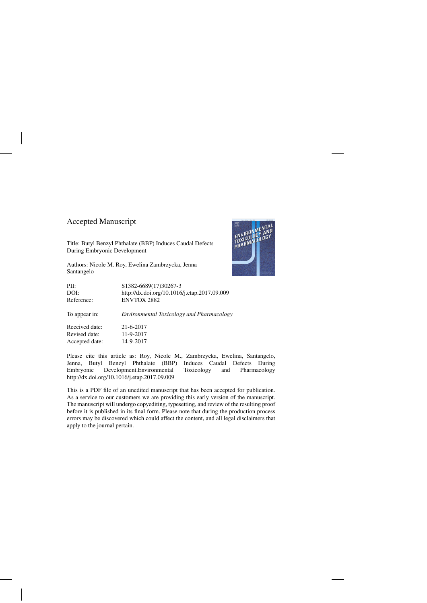### Accepted Manuscript

Title: Butyl Benzyl Phthalate (BBP) Induces Caudal Defects During Embryonic Development

Authors: Nicole M. Roy, Ewelina Zambrzycka, Jenna Santangelo



Please cite this article as: Roy, Nicole M., Zambrzycka, Ewelina, Santangelo, Jenna, Butyl Benzyl Phthalate (BBP) Induces Caudal Defects During Embryonic Development.Environmental Toxicology and Pharmacology <http://dx.doi.org/10.1016/j.etap.2017.09.009>

This is a PDF file of an unedited manuscript that has been accepted for publication. As a service to our customers we are providing this early version of the manuscript. The manuscript will undergo copyediting, typesetting, and review of the resulting proof before it is published in its final form. Please note that during the production process errors may be discovered which could affect the content, and all legal disclaimers that apply to the journal pertain.

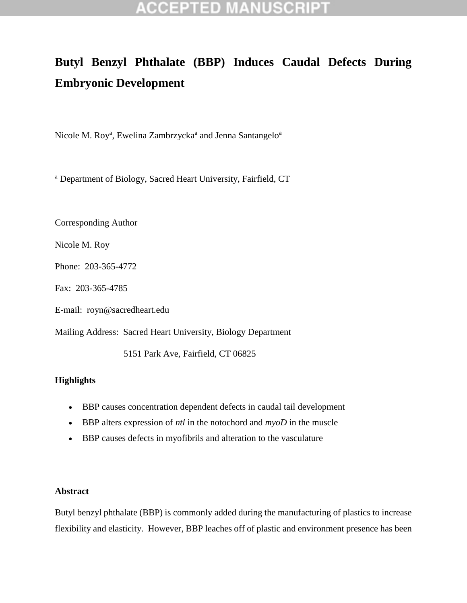# **Butyl Benzyl Phthalate (BBP) Induces Caudal Defects During Embryonic Development**

Nicole M. Roy<sup>a</sup>, Ewelina Zambrzycka<sup>a</sup> and Jenna Santangelo<sup>a</sup>

<sup>a</sup> Department of Biology, Sacred Heart University, Fairfield, CT

Corresponding Author

Nicole M. Roy

Phone: 203-365-4772

Fax: 203-365-4785

E-mail: [royn@sacredheart.edu](mailto:royn@sacredheart.edu)

Mailing Address: Sacred Heart University, Biology Department

5151 Park Ave, Fairfield, CT 06825

### **Highlights**

- BBP causes concentration dependent defects in caudal tail development
- BBP alters expression of *ntl* in the notochord and *myoD* in the muscle
- BBP causes defects in myofibrils and alteration to the vasculature

### **Abstract**

Butyl benzyl phthalate (BBP) is commonly added during the manufacturing of plastics to increase flexibility and elasticity. However, BBP leaches off of plastic and environment presence has been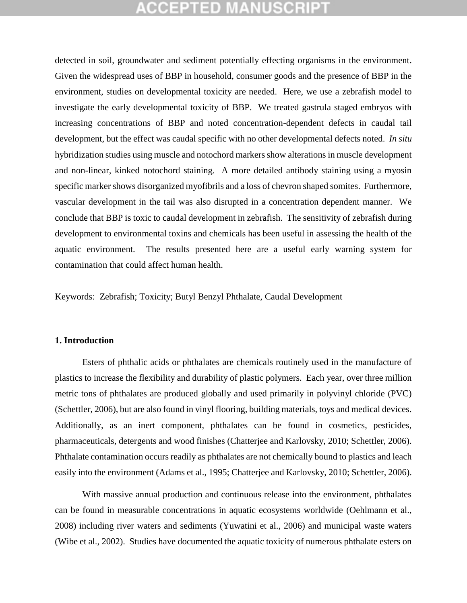detected in soil, groundwater and sediment potentially effecting organisms in the environment. Given the widespread uses of BBP in household, consumer goods and the presence of BBP in the environment, studies on developmental toxicity are needed. Here, we use a zebrafish model to investigate the early developmental toxicity of BBP. We treated gastrula staged embryos with increasing concentrations of BBP and noted concentration-dependent defects in caudal tail development, but the effect was caudal specific with no other developmental defects noted. *In situ* hybridization studies using muscle and notochord markers show alterations in muscle development and non-linear, kinked notochord staining. A more detailed antibody staining using a myosin specific marker shows disorganized myofibrils and a loss of chevron shaped somites. Furthermore, vascular development in the tail was also disrupted in a concentration dependent manner. We conclude that BBP is toxic to caudal development in zebrafish. The sensitivity of zebrafish during development to environmental toxins and chemicals has been useful in assessing the health of the aquatic environment. The results presented here are a useful early warning system for contamination that could affect human health.

Keywords: Zebrafish; Toxicity; Butyl Benzyl Phthalate, Caudal Development

### **1. Introduction**

Esters of phthalic acids or phthalates are chemicals routinely used in the manufacture of plastics to increase the flexibility and durability of plastic polymers. Each year, over three million metric tons of phthalates are produced globally and used primarily in polyvinyl chloride (PVC) [\(Schettler, 2006\)](#page-16-0), but are also found in vinyl flooring, building materials, toys and medical devices. Additionally, as an inert component, phthalates can be found in cosmetics, pesticides, pharmaceuticals, detergents and wood finishes [\(Chatterjee and Karlovsky, 2010;](#page-13-0) [Schettler, 2006\)](#page-16-0). Phthalate contamination occurs readily as phthalates are not chemically bound to plastics and leach easily into the environment [\(Adams et al., 1995;](#page-13-1) [Chatterjee and Karlovsky, 2010;](#page-13-0) [Schettler, 2006\)](#page-16-0).

With massive annual production and continuous release into the environment, phthalates can be found in measurable concentrations in aquatic ecosystems worldwide [\(Oehlmann et al.,](#page-15-0)  [2008\)](#page-15-0) including river waters and sediments [\(Yuwatini et al., 2006\)](#page-18-0) and municipal waste waters [\(Wibe et al., 2002\)](#page-17-0). Studies have documented the aquatic toxicity of numerous phthalate esters on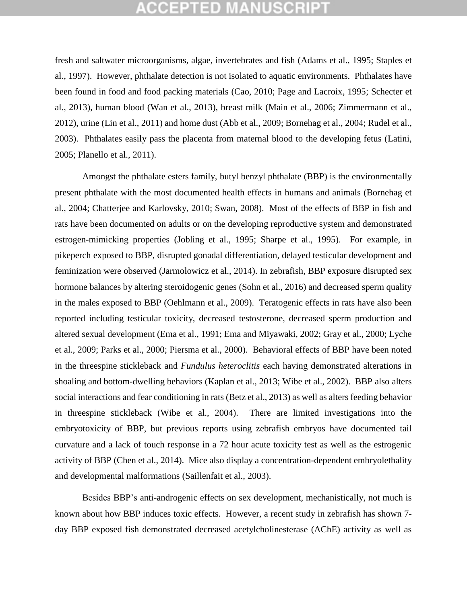fresh and saltwater microorganisms, algae, invertebrates and fish [\(Adams et al., 1995;](#page-13-1) [Staples et](#page-17-1)  [al., 1997\)](#page-17-1). However, phthalate detection is not isolated to aquatic environments. Phthalates have been found in food and food packing materials [\(Cao, 2010;](#page-13-2) [Page and Lacroix, 1995;](#page-15-1) [Schecter et](#page-16-1)  [al., 2013\)](#page-16-1), human blood [\(Wan et al., 2013\)](#page-17-2), breast milk [\(Main et al., 2006;](#page-15-2) [Zimmermann et al.,](#page-18-1)  [2012\)](#page-18-1), urine [\(Lin et al.,](#page-15-3) 2011) and home dust [\(Abb et al., 2009;](#page-13-3) [Bornehag et al., 2004;](#page-13-4) [Rudel et al.,](#page-16-2)  [2003\)](#page-16-2). Phthalates easily pass the placenta from maternal blood to the developing fetus [\(Latini,](#page-15-4)  [2005;](#page-15-4) [Planello et al., 2011\)](#page-16-3).

Amongst the phthalate esters family, butyl benzyl phthalate (BBP) is the environmentally present phthalate with the most documented health effects in humans and animals [\(Bornehag et](#page-13-4)  [al., 2004;](#page-13-4) [Chatterjee and Karlovsky, 2010;](#page-13-0) [Swan, 2008\)](#page-17-3). Most of the effects of BBP in fish and rats have been documented on adults or on the developing reproductive system and demonstrated estrogen-mimicking properties [\(Jobling et al., 1995;](#page-14-0) [Sharpe et al., 1995\)](#page-17-4). For example, in pikeperch exposed to BBP, disrupted gonadal differentiation, delayed testicular development and feminization were observed [\(Jarmolowicz et al., 2014\)](#page-14-1). In zebrafish, BBP exposure disrupted sex hormone balances by altering steroidogenic genes [\(Sohn et al., 2016\)](#page-17-5) and decreased sperm quality in the males exposed to BBP [\(Oehlmann et al., 2009\)](#page-15-5). Teratogenic effects in rats have also been reported including testicular toxicity, decreased testosterone, decreased sperm production and altered sexual development [\(Ema et al., 1991;](#page-14-2) [Ema and Miyawaki, 2002;](#page-14-3) [Gray et al., 2000;](#page-14-4) [Lyche](#page-15-6)  [et al., 2009;](#page-15-6) [Parks et al., 2000;](#page-16-4) [Piersma et al., 2000\)](#page-16-5). Behavioral effects of BBP have been noted in the threespine stickleback and *Fundulus heteroclitis* each having demonstrated alterations in shoaling and bottom-dwelling behaviors [\(Kaplan et al., 2013;](#page-14-5) [Wibe et al., 2002\)](#page-17-0). BBP also alters social interactions and fear conditioning in rats [\(Betz et al., 2013\)](#page-13-5) as well as alters feeding behavior in threespine stickleback [\(Wibe et al., 2004\)](#page-17-6). There are limited investigations into the embryotoxicity of BBP, but previous reports using zebrafish embryos have documented tail curvature and a lack of touch response in a 72 hour acute toxicity test as well as the estrogenic activity of BBP [\(Chen et al., 2014\)](#page-13-6). Mice also display a concentration-dependent embryolethality and developmental malformations [\(Saillenfait et al., 2003\)](#page-16-6).

Besides BBP's anti-androgenic effects on sex development, mechanistically, not much is known about how BBP induces toxic effects. However, a recent study in zebrafish has shown 7 day BBP exposed fish demonstrated decreased acetylcholinesterase (AChE) activity as well as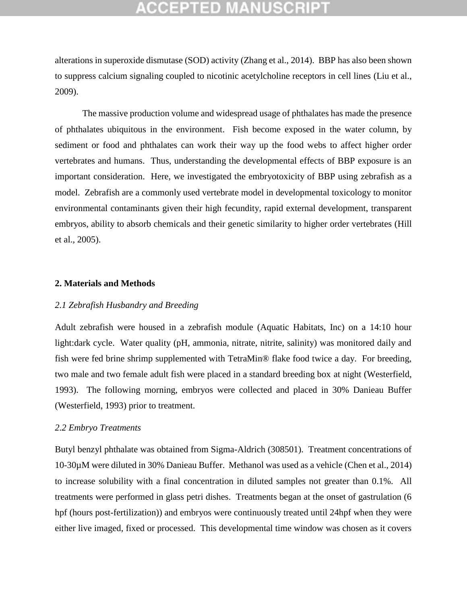alterations in superoxide dismutase (SOD) activity [\(Zhang et al., 2014\)](#page-18-2). BBP has also been shown to suppress calcium signaling coupled to nicotinic acetylcholine receptors in cell lines [\(Liu et al.,](#page-15-7)  [2009\)](#page-15-7).

The massive production volume and widespread usage of phthalates has made the presence of phthalates ubiquitous in the environment. Fish become exposed in the water column, by sediment or food and phthalates can work their way up the food webs to affect higher order vertebrates and humans. Thus, understanding the developmental effects of BBP exposure is an important consideration. Here, we investigated the embryotoxicity of BBP using zebrafish as a model. Zebrafish are a commonly used vertebrate model in developmental toxicology to monitor environmental contaminants given their high fecundity, rapid external development, transparent embryos, ability to absorb chemicals and their genetic similarity to higher order vertebrates [\(Hill](#page-14-6)  [et al., 2005\)](#page-14-6).

#### **2. Materials and Methods**

### *2.1 Zebrafish Husbandry and Breeding*

Adult zebrafish were housed in a zebrafish module (Aquatic Habitats, Inc) on a 14:10 hour light:dark cycle. Water quality (pH, ammonia, nitrate, nitrite, salinity) was monitored daily and fish were fed brine shrimp supplemented with TetraMin® flake food twice a day. For breeding, two male and two female adult fish were placed in a standard breeding box at night [\(Westerfield,](#page-17-7)  [1993\)](#page-17-7). The following morning, embryos were collected and placed in 30% Danieau Buffer [\(Westerfield, 1993\)](#page-17-7) prior to treatment.

### *2.2 Embryo Treatments*

Butyl benzyl phthalate was obtained from Sigma-Aldrich (308501). Treatment concentrations of 10-30µM were diluted in 30% Danieau Buffer. Methanol was used as a vehicle [\(Chen et al., 2014\)](#page-13-6) to increase solubility with a final concentration in diluted samples not greater than 0.1%. All treatments were performed in glass petri dishes. Treatments began at the onset of gastrulation (6 hpf (hours post-fertilization)) and embryos were continuously treated until 24hpf when they were either live imaged, fixed or processed. This developmental time window was chosen as it covers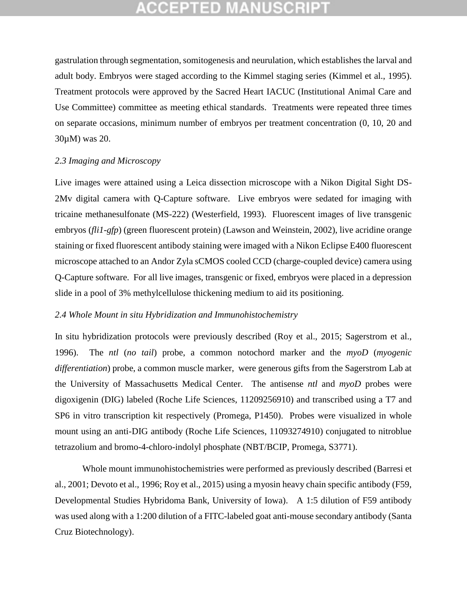gastrulation through segmentation, somitogenesis and neurulation, which establishes the larval and adult body. Embryos were staged according to the Kimmel staging series [\(Kimmel et al., 1995\)](#page-14-7). Treatment protocols were approved by the Sacred Heart IACUC (Institutional Animal Care and Use Committee) committee as meeting ethical standards. Treatments were repeated three times on separate occasions, minimum number of embryos per treatment concentration (0, 10, 20 and 30µM) was 20.

### *2.3 Imaging and Microscopy*

Live images were attained using a Leica dissection microscope with a Nikon Digital Sight DS-2Mv digital camera with Q-Capture software. Live embryos were sedated for imaging with tricaine methanesulfonate (MS-222) [\(Westerfield, 1993\)](#page-17-7). Fluorescent images of live transgenic embryos (*fli1-gfp*) (green fluorescent protein) [\(Lawson and Weinstein, 2002\)](#page-15-8), live acridine orange staining or fixed fluorescent antibody staining were imaged with a Nikon Eclipse E400 fluorescent microscope attached to an Andor Zyla sCMOS cooled CCD (charge-coupled device) camera using Q-Capture software. For all live images, transgenic or fixed, embryos were placed in a depression slide in a pool of 3% methylcellulose thickening medium to aid its positioning.

### *2.4 Whole Mount in situ Hybridization and Immunohistochemistry*

In situ hybridization protocols were previously described [\(Roy et al., 2015;](#page-16-7) [Sagerstrom et al.,](#page-16-8)  [1996\)](#page-16-8). The *ntl* (*no tail*) probe, a common notochord marker and the *myoD* (*myogenic differentiation*) probe, a common muscle marker, were generous gifts from the Sagerstrom Lab at the University of Massachusetts Medical Center. The antisense *ntl* and *myoD* probes were digoxigenin (DIG) labeled (Roche Life Sciences, 11209256910) and transcribed using a T7 and SP6 in vitro transcription kit respectively (Promega, P1450). Probes were visualized in whole mount using an anti-DIG antibody (Roche Life Sciences, 11093274910) conjugated to nitroblue tetrazolium and bromo-4-chloro-indolyl phosphate (NBT/BCIP, Promega, S3771).

Whole mount immunohistochemistries were performed as previously described [\(Barresi et](#page-13-7)  [al., 2001;](#page-13-7) [Devoto et al., 1996;](#page-14-8) [Roy et al., 2015\)](#page-16-7) using a myosin heavy chain specific antibody (F59, Developmental Studies Hybridoma Bank, University of Iowa). A 1:5 dilution of F59 antibody was used along with a 1:200 dilution of a FITC-labeled goat anti-mouse secondary antibody (Santa Cruz Biotechnology).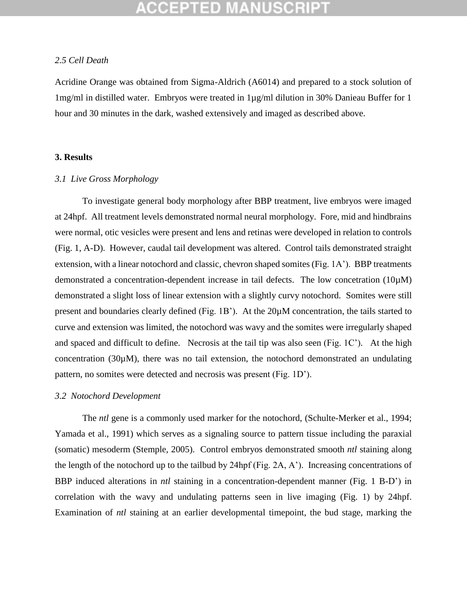#### *2.5 Cell Death*

Acridine Orange was obtained from Sigma-Aldrich (A6014) and prepared to a stock solution of 1mg/ml in distilled water. Embryos were treated in 1µg/ml dilution in 30% Danieau Buffer for 1 hour and 30 minutes in the dark, washed extensively and imaged as described above.

### **3. Results**

#### *3.1 Live Gross Morphology*

To investigate general body morphology after BBP treatment, live embryos were imaged at 24hpf. All treatment levels demonstrated normal neural morphology. Fore, mid and hindbrains were normal, otic vesicles were present and lens and retinas were developed in relation to controls (Fig. 1, A-D). However, caudal tail development was altered. Control tails demonstrated straight extension, with a linear notochord and classic, chevron shaped somites (Fig. 1A'). BBP treatments demonstrated a concentration-dependent increase in tail defects. The low concetration (10µM) demonstrated a slight loss of linear extension with a slightly curvy notochord. Somites were still present and boundaries clearly defined (Fig. 1B'). At the 20µM concentration, the tails started to curve and extension was limited, the notochord was wavy and the somites were irregularly shaped and spaced and difficult to define. Necrosis at the tail tip was also seen (Fig. 1C'). At the high concentration (30µM), there was no tail extension, the notochord demonstrated an undulating pattern, no somites were detected and necrosis was present (Fig. 1D').

#### *3.2 Notochord Development*

The *ntl* gene is a commonly used marker for the notochord, [\(Schulte-Merker et al., 1994;](#page-16-9) [Yamada et al., 1991\)](#page-17-8) which serves as a signaling source to pattern tissue including the paraxial (somatic) mesoderm [\(Stemple, 2005\)](#page-17-9). Control embryos demonstrated smooth *ntl* staining along the length of the notochord up to the tailbud by 24hpf (Fig. 2A, A'). Increasing concentrations of BBP induced alterations in *ntl* staining in a concentration-dependent manner (Fig. 1 B-D') in correlation with the wavy and undulating patterns seen in live imaging (Fig. 1) by 24hpf. Examination of *ntl* staining at an earlier developmental timepoint, the bud stage, marking the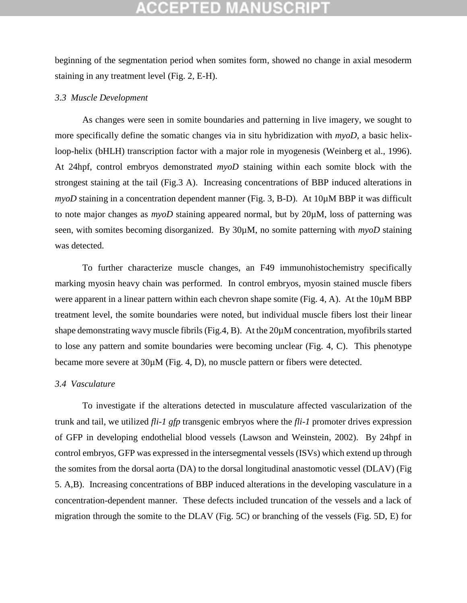beginning of the segmentation period when somites form, showed no change in axial mesoderm staining in any treatment level (Fig. 2, E-H).

### *3.3 Muscle Development*

As changes were seen in somite boundaries and patterning in live imagery, we sought to more specifically define the somatic changes via in situ hybridization with *myoD*, a basic helixloop-helix (bHLH) transcription factor with a major role in myogenesis [\(Weinberg et al., 1996\)](#page-17-10). At 24hpf, control embryos demonstrated *myoD* staining within each somite block with the strongest staining at the tail (Fig.3 A). Increasing concentrations of BBP induced alterations in *myoD* staining in a concentration dependent manner (Fig. 3, B-D). At 10 $\mu$ M BBP it was difficult to note major changes as *myoD* staining appeared normal, but by 20µM, loss of patterning was seen, with somites becoming disorganized. By 30µM, no somite patterning with *myoD* staining was detected.

To further characterize muscle changes, an F49 immunohistochemistry specifically marking myosin heavy chain was performed. In control embryos, myosin stained muscle fibers were apparent in a linear pattern within each chevron shape somite (Fig. 4, A). At the 10 $\mu$ M BBP treatment level, the somite boundaries were noted, but individual muscle fibers lost their linear shape demonstrating wavy muscle fibrils (Fig.4, B). At the  $20\mu$ M concentration, myofibrils started to lose any pattern and somite boundaries were becoming unclear (Fig. 4, C). This phenotype became more severe at  $30\mu$ M (Fig. 4, D), no muscle pattern or fibers were detected.

#### *3.4 Vasculature*

To investigate if the alterations detected in musculature affected vascularization of the trunk and tail, we utilized *fli-1 gfp* transgenic embryos where the *fli-1* promoter drives expression of GFP in developing endothelial blood vessels [\(Lawson and Weinstein, 2002\)](#page-15-8). By 24hpf in control embryos, GFP was expressed in the intersegmental vessels (ISVs) which extend up through the somites from the dorsal aorta (DA) to the dorsal longitudinal anastomotic vessel (DLAV) (Fig 5. A,B). Increasing concentrations of BBP induced alterations in the developing vasculature in a concentration-dependent manner. These defects included truncation of the vessels and a lack of migration through the somite to the DLAV (Fig. 5C) or branching of the vessels (Fig. 5D, E) for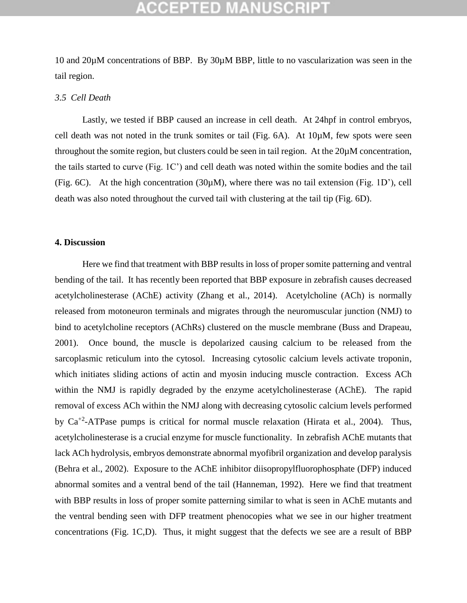## CCEPTED

10 and 20µM concentrations of BBP. By 30µM BBP, little to no vascularization was seen in the tail region.

### *3.5 Cell Death*

Lastly, we tested if BBP caused an increase in cell death. At 24hpf in control embryos, cell death was not noted in the trunk somites or tail (Fig. 6A). At 10µM, few spots were seen throughout the somite region, but clusters could be seen in tail region. At the 20µM concentration, the tails started to curve (Fig. 1C') and cell death was noted within the somite bodies and the tail (Fig. 6C). At the high concentration (30µM), where there was no tail extension (Fig. 1D'), cell death was also noted throughout the curved tail with clustering at the tail tip (Fig. 6D).

### **4. Discussion**

Here we find that treatment with BBP results in loss of proper somite patterning and ventral bending of the tail. It has recently been reported that BBP exposure in zebrafish causes decreased acetylcholinesterase (AChE) activity [\(Zhang et al., 2014\)](#page-18-2). Acetylcholine (ACh) is normally released from motoneuron terminals and migrates through the neuromuscular junction (NMJ) to bind to acetylcholine receptors (AChRs) clustered on the muscle membrane [\(Buss and Drapeau,](#page-13-8)  [2001\)](#page-13-8). Once bound, the muscle is depolarized causing calcium to be released from the sarcoplasmic reticulum into the cytosol. Increasing cytosolic calcium levels activate troponin, which initiates sliding actions of actin and myosin inducing muscle contraction. Excess ACh within the NMJ is rapidly degraded by the enzyme acetylcholinesterase (AChE). The rapid removal of excess ACh within the NMJ along with decreasing cytosolic calcium levels performed by  $Ca^{+2}$ -ATPase pumps is critical for normal muscle relaxation [\(Hirata et al., 2004\)](#page-14-9). Thus, acetylcholinesterase is a crucial enzyme for muscle functionality. In zebrafish AChE mutants that lack ACh hydrolysis, embryos demonstrate abnormal myofibril organization and develop paralysis [\(Behra et al., 2002\)](#page-13-9). Exposure to the AChE inhibitor diisopropylfluorophosphate (DFP) induced abnormal somites and a ventral bend of the tail [\(Hanneman, 1992\)](#page-14-10). Here we find that treatment with BBP results in loss of proper somite patterning similar to what is seen in AChE mutants and the ventral bending seen with DFP treatment phenocopies what we see in our higher treatment concentrations (Fig. 1C,D). Thus, it might suggest that the defects we see are a result of BBP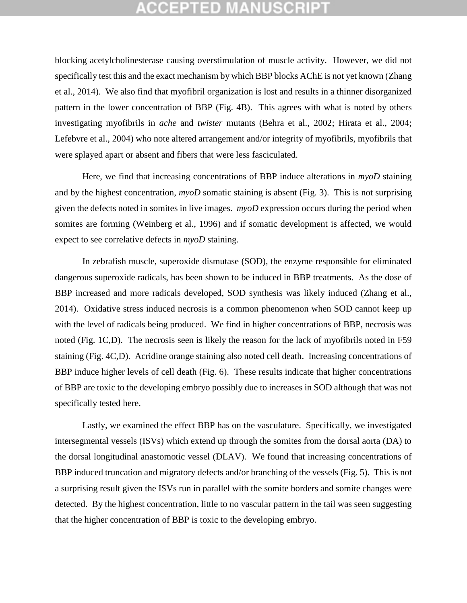blocking acetylcholinesterase causing overstimulation of muscle activity. However, we did not specifically test this and the exact mechanism by which BBP blocks AChE is not yet known [\(Zhang](#page-18-2)  [et al., 2014\)](#page-18-2). We also find that myofibril organization is lost and results in a thinner disorganized pattern in the lower concentration of BBP (Fig. 4B). This agrees with what is noted by others investigating myofibrils in *ache* and *twister* mutants [\(Behra et al., 2002;](#page-13-9) [Hirata et al., 2004;](#page-14-9) [Lefebvre et al., 2004\)](#page-15-9) who note altered arrangement and/or integrity of myofibrils, myofibrils that were splayed apart or absent and fibers that were less fasciculated.

Here, we find that increasing concentrations of BBP induce alterations in *myoD* staining and by the highest concentration, *myoD* somatic staining is absent (Fig. 3). This is not surprising given the defects noted in somites in live images. *myoD* expression occurs during the period when somites are forming [\(Weinberg et al., 1996\)](#page-17-10) and if somatic development is affected, we would expect to see correlative defects in *myoD* staining.

In zebrafish muscle, superoxide dismutase (SOD), the enzyme responsible for eliminated dangerous superoxide radicals, has been shown to be induced in BBP treatments. As the dose of BBP increased and more radicals developed, SOD synthesis was likely induced [\(Zhang et al.,](#page-18-2)  [2014\)](#page-18-2). Oxidative stress induced necrosis is a common phenomenon when SOD cannot keep up with the level of radicals being produced. We find in higher concentrations of BBP, necrosis was noted (Fig. 1C,D). The necrosis seen is likely the reason for the lack of myofibrils noted in F59 staining (Fig. 4C,D). Acridine orange staining also noted cell death. Increasing concentrations of BBP induce higher levels of cell death (Fig. 6). These results indicate that higher concentrations of BBP are toxic to the developing embryo possibly due to increases in SOD although that was not specifically tested here.

Lastly, we examined the effect BBP has on the vasculature. Specifically, we investigated intersegmental vessels (ISVs) which extend up through the somites from the dorsal aorta (DA) to the dorsal longitudinal anastomotic vessel (DLAV). We found that increasing concentrations of BBP induced truncation and migratory defects and/or branching of the vessels (Fig. 5). This is not a surprising result given the ISVs run in parallel with the somite borders and somite changes were detected. By the highest concentration, little to no vascular pattern in the tail was seen suggesting that the higher concentration of BBP is toxic to the developing embryo.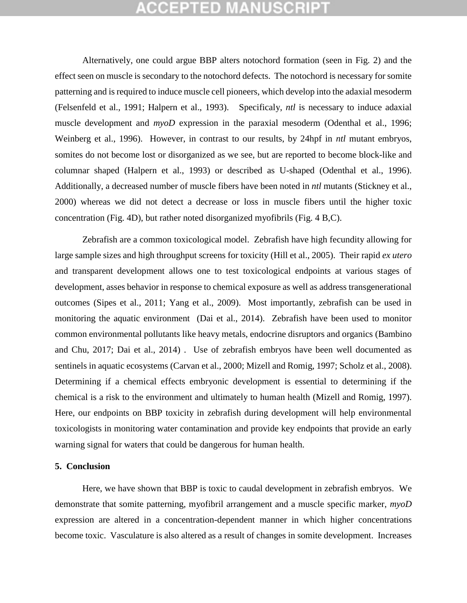Alternatively, one could argue BBP alters notochord formation (seen in Fig. 2) and the effect seen on muscle is secondary to the notochord defects. The notochord is necessary for somite patterning and is required to induce muscle cell pioneers, which develop into the adaxial mesoderm [\(Felsenfeld et al., 1991;](#page-14-11) [Halpern et al., 1993\)](#page-14-12). Specificaly, *ntl* is necessary to induce adaxial muscle development and *myoD* expression in the paraxial mesoderm [\(Odenthal et al., 1996;](#page-15-10) [Weinberg et al., 1996\)](#page-17-10). However, in contrast to our results, by 24hpf in *ntl* mutant embryos, somites do not become lost or disorganized as we see, but are reported to become block-like and columnar shaped [\(Halpern et al., 1993\)](#page-14-12) or described as U-shaped [\(Odenthal et al., 1996\)](#page-15-10). Additionally, a decreased number of muscle fibers have been noted in *ntl* mutants [\(Stickney et al.,](#page-17-11)  [2000\)](#page-17-11) whereas we did not detect a decrease or loss in muscle fibers until the higher toxic concentration (Fig. 4D), but rather noted disorganized myofibrils (Fig. 4 B,C).

Zebrafish are a common toxicological model. Zebrafish have high fecundity allowing for large sample sizes and high throughput screens for toxicity [\(Hill et al., 2005\)](#page-14-6). Their rapid *ex utero* and transparent development allows one to test toxicological endpoints at various stages of development, asses behavior in response to chemical exposure as well as address transgenerational outcomes [\(Sipes et al., 2011;](#page-17-12) [Yang et al., 2009\)](#page-17-13). Most importantly, zebrafish can be used in monitoring the aquatic environment [\(Dai et al., 2014\)](#page-14-13). Zebrafish have been used to monitor common environmental pollutants like heavy metals, endocrine disruptors and organics [\(Bambino](#page-13-10)  [and Chu, 2017;](#page-13-10) [Dai et al., 2014\)](#page-14-13) . Use of zebrafish embryos have been well documented as sentinels in aquatic ecosystems [\(Carvan et al., 2000;](#page-13-11) [Mizell and Romig, 1997;](#page-15-11) [Scholz et al., 2008\)](#page-16-10). Determining if a chemical effects embryonic development is essential to determining if the chemical is a risk to the environment and ultimately to human health [\(Mizell and Romig, 1997\)](#page-15-11). Here, our endpoints on BBP toxicity in zebrafish during development will help environmental toxicologists in monitoring water contamination and provide key endpoints that provide an early warning signal for waters that could be dangerous for human health.

#### **5. Conclusion**

Here, we have shown that BBP is toxic to caudal development in zebrafish embryos. We demonstrate that somite patterning, myofibril arrangement and a muscle specific marker, *myoD* expression are altered in a concentration-dependent manner in which higher concentrations become toxic. Vasculature is also altered as a result of changes in somite development. Increases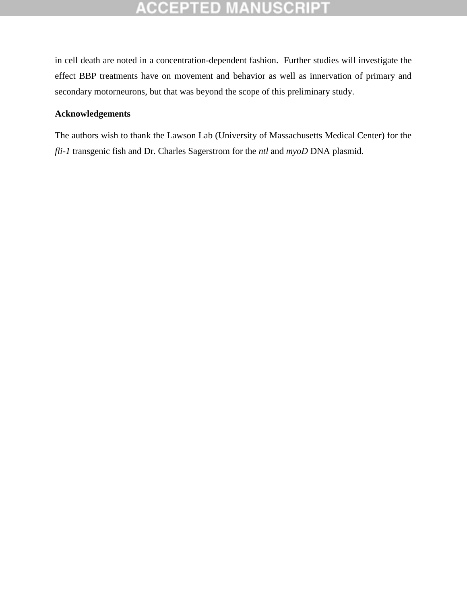# **ACCEPTED MANUSCRIPT**

in cell death are noted in a concentration-dependent fashion. Further studies will investigate the effect BBP treatments have on movement and behavior as well as innervation of primary and secondary motorneurons, but that was beyond the scope of this preliminary study.

### **Acknowledgements**

The authors wish to thank the Lawson Lab (University of Massachusetts Medical Center) for the *fli-1* transgenic fish and Dr. Charles Sagerstrom for the *ntl* and *myoD* DNA plasmid.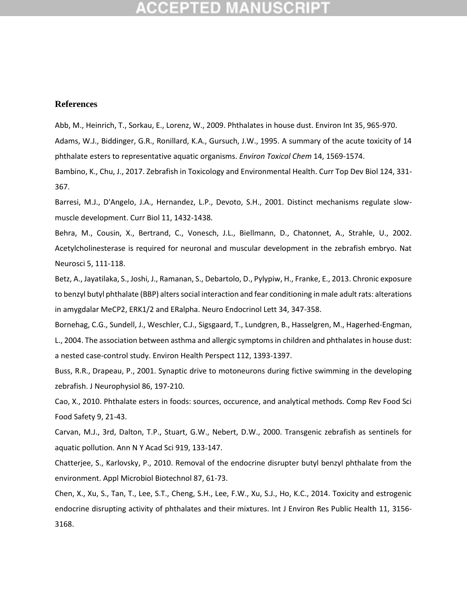#### **References**

<span id="page-13-3"></span><span id="page-13-1"></span>Abb, M., Heinrich, T., Sorkau, E., Lorenz, W., 2009. Phthalates in house dust. Environ Int 35, 965-970. Adams, W.J., Biddinger, G.R., Ronillard, K.A., Gursuch, J.W., 1995. A summary of the acute toxicity of 14 phthalate esters to representative aquatic organisms. *Environ Toxicol Chem* 14, 1569-1574.

<span id="page-13-10"></span>Bambino, K., Chu, J., 2017. Zebrafish in Toxicology and Environmental Health. Curr Top Dev Biol 124, 331- 367.

<span id="page-13-7"></span>Barresi, M.J., D'Angelo, J.A., Hernandez, L.P., Devoto, S.H., 2001. Distinct mechanisms regulate slowmuscle development. Curr Biol 11, 1432-1438.

<span id="page-13-9"></span>Behra, M., Cousin, X., Bertrand, C., Vonesch, J.L., Biellmann, D., Chatonnet, A., Strahle, U., 2002. Acetylcholinesterase is required for neuronal and muscular development in the zebrafish embryo. Nat Neurosci 5, 111-118.

<span id="page-13-5"></span>Betz, A., Jayatilaka, S., Joshi, J., Ramanan, S., Debartolo, D., Pylypiw, H., Franke, E., 2013. Chronic exposure to benzyl butyl phthalate (BBP) alters social interaction and fear conditioning in male adult rats: alterations in amygdalar MeCP2, ERK1/2 and ERalpha. Neuro Endocrinol Lett 34, 347-358.

<span id="page-13-4"></span>Bornehag, C.G., Sundell, J., Weschler, C.J., Sigsgaard, T., Lundgren, B., Hasselgren, M., Hagerhed-Engman, L., 2004. The association between asthma and allergic symptoms in children and phthalates in house dust: a nested case-control study. Environ Health Perspect 112, 1393-1397.

<span id="page-13-8"></span>Buss, R.R., Drapeau, P., 2001. Synaptic drive to motoneurons during fictive swimming in the developing zebrafish. J Neurophysiol 86, 197-210.

<span id="page-13-2"></span>Cao, X., 2010. Phthalate esters in foods: sources, occurence, and analytical methods. Comp Rev Food Sci Food Safety 9, 21-43.

<span id="page-13-11"></span>Carvan, M.J., 3rd, Dalton, T.P., Stuart, G.W., Nebert, D.W., 2000. Transgenic zebrafish as sentinels for aquatic pollution. Ann N Y Acad Sci 919, 133-147.

<span id="page-13-0"></span>Chatterjee, S., Karlovsky, P., 2010. Removal of the endocrine disrupter butyl benzyl phthalate from the environment. Appl Microbiol Biotechnol 87, 61-73.

<span id="page-13-6"></span>Chen, X., Xu, S., Tan, T., Lee, S.T., Cheng, S.H., Lee, F.W., Xu, S.J., Ho, K.C., 2014. Toxicity and estrogenic endocrine disrupting activity of phthalates and their mixtures. Int J Environ Res Public Health 11, 3156- 3168.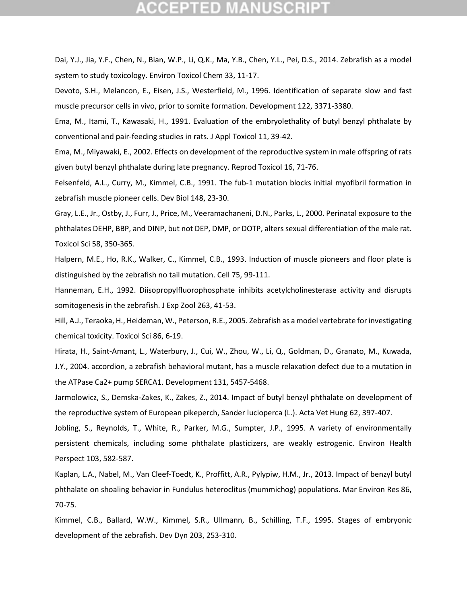## CEPTED

<span id="page-14-13"></span>Dai, Y.J., Jia, Y.F., Chen, N., Bian, W.P., Li, Q.K., Ma, Y.B., Chen, Y.L., Pei, D.S., 2014. Zebrafish as a model system to study toxicology. Environ Toxicol Chem 33, 11-17.

<span id="page-14-8"></span>Devoto, S.H., Melancon, E., Eisen, J.S., Westerfield, M., 1996. Identification of separate slow and fast muscle precursor cells in vivo, prior to somite formation. Development 122, 3371-3380.

<span id="page-14-2"></span>Ema, M., Itami, T., Kawasaki, H., 1991. Evaluation of the embryolethality of butyl benzyl phthalate by conventional and pair-feeding studies in rats. J Appl Toxicol 11, 39-42.

<span id="page-14-3"></span>Ema, M., Miyawaki, E., 2002. Effects on development of the reproductive system in male offspring of rats given butyl benzyl phthalate during late pregnancy. Reprod Toxicol 16, 71-76.

<span id="page-14-11"></span>Felsenfeld, A.L., Curry, M., Kimmel, C.B., 1991. The fub-1 mutation blocks initial myofibril formation in zebrafish muscle pioneer cells. Dev Biol 148, 23-30.

<span id="page-14-4"></span>Gray, L.E., Jr., Ostby, J., Furr, J., Price, M., Veeramachaneni, D.N., Parks, L., 2000. Perinatal exposure to the phthalates DEHP, BBP, and DINP, but not DEP, DMP, or DOTP, alters sexual differentiation of the male rat. Toxicol Sci 58, 350-365.

<span id="page-14-12"></span>Halpern, M.E., Ho, R.K., Walker, C., Kimmel, C.B., 1993. Induction of muscle pioneers and floor plate is distinguished by the zebrafish no tail mutation. Cell 75, 99-111.

<span id="page-14-10"></span>Hanneman, E.H., 1992. Diisopropylfluorophosphate inhibits acetylcholinesterase activity and disrupts somitogenesis in the zebrafish. J Exp Zool 263, 41-53.

<span id="page-14-6"></span>Hill, A.J., Teraoka, H., Heideman, W., Peterson, R.E., 2005. Zebrafish as a model vertebrate for investigating chemical toxicity. Toxicol Sci 86, 6-19.

<span id="page-14-9"></span>Hirata, H., Saint-Amant, L., Waterbury, J., Cui, W., Zhou, W., Li, Q., Goldman, D., Granato, M., Kuwada, J.Y., 2004. accordion, a zebrafish behavioral mutant, has a muscle relaxation defect due to a mutation in the ATPase Ca2+ pump SERCA1. Development 131, 5457-5468.

<span id="page-14-1"></span>Jarmolowicz, S., Demska-Zakes, K., Zakes, Z., 2014. Impact of butyl benzyl phthalate on development of the reproductive system of European pikeperch, Sander lucioperca (L.). Acta Vet Hung 62, 397-407.

<span id="page-14-0"></span>Jobling, S., Reynolds, T., White, R., Parker, M.G., Sumpter, J.P., 1995. A variety of environmentally persistent chemicals, including some phthalate plasticizers, are weakly estrogenic. Environ Health Perspect 103, 582-587.

<span id="page-14-5"></span>Kaplan, L.A., Nabel, M., Van Cleef-Toedt, K., Proffitt, A.R., Pylypiw, H.M., Jr., 2013. Impact of benzyl butyl phthalate on shoaling behavior in Fundulus heteroclitus (mummichog) populations. Mar Environ Res 86, 70-75.

<span id="page-14-7"></span>Kimmel, C.B., Ballard, W.W., Kimmel, S.R., Ullmann, B., Schilling, T.F., 1995. Stages of embryonic development of the zebrafish. Dev Dyn 203, 253-310.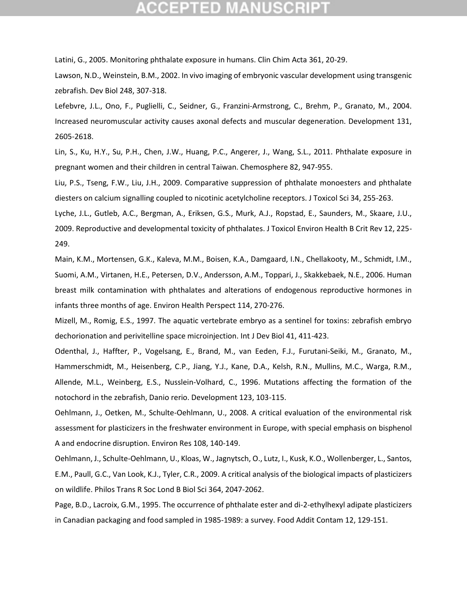## CEPTED

<span id="page-15-4"></span>Latini, G., 2005. Monitoring phthalate exposure in humans. Clin Chim Acta 361, 20-29.

<span id="page-15-8"></span>Lawson, N.D., Weinstein, B.M., 2002. In vivo imaging of embryonic vascular development using transgenic zebrafish. Dev Biol 248, 307-318.

<span id="page-15-9"></span>Lefebvre, J.L., Ono, F., Puglielli, C., Seidner, G., Franzini-Armstrong, C., Brehm, P., Granato, M., 2004. Increased neuromuscular activity causes axonal defects and muscular degeneration. Development 131, 2605-2618.

<span id="page-15-3"></span>Lin, S., Ku, H.Y., Su, P.H., Chen, J.W., Huang, P.C., Angerer, J., Wang, S.L., 2011. Phthalate exposure in pregnant women and their children in central Taiwan. Chemosphere 82, 947-955.

<span id="page-15-7"></span>Liu, P.S., Tseng, F.W., Liu, J.H., 2009. Comparative suppression of phthalate monoesters and phthalate diesters on calcium signalling coupled to nicotinic acetylcholine receptors. J Toxicol Sci 34, 255-263.

<span id="page-15-6"></span>Lyche, J.L., Gutleb, A.C., Bergman, A., Eriksen, G.S., Murk, A.J., Ropstad, E., Saunders, M., Skaare, J.U., 2009. Reproductive and developmental toxicity of phthalates. J Toxicol Environ Health B Crit Rev 12, 225- 249.

<span id="page-15-2"></span>Main, K.M., Mortensen, G.K., Kaleva, M.M., Boisen, K.A., Damgaard, I.N., Chellakooty, M., Schmidt, I.M., Suomi, A.M., Virtanen, H.E., Petersen, D.V., Andersson, A.M., Toppari, J., Skakkebaek, N.E., 2006. Human breast milk contamination with phthalates and alterations of endogenous reproductive hormones in infants three months of age. Environ Health Perspect 114, 270-276.

<span id="page-15-11"></span>Mizell, M., Romig, E.S., 1997. The aquatic vertebrate embryo as a sentinel for toxins: zebrafish embryo dechorionation and perivitelline space microinjection. Int J Dev Biol 41, 411-423.

<span id="page-15-10"></span>Odenthal, J., Haffter, P., Vogelsang, E., Brand, M., van Eeden, F.J., Furutani-Seiki, M., Granato, M., Hammerschmidt, M., Heisenberg, C.P., Jiang, Y.J., Kane, D.A., Kelsh, R.N., Mullins, M.C., Warga, R.M., Allende, M.L., Weinberg, E.S., Nusslein-Volhard, C., 1996. Mutations affecting the formation of the notochord in the zebrafish, Danio rerio. Development 123, 103-115.

<span id="page-15-0"></span>Oehlmann, J., Oetken, M., Schulte-Oehlmann, U., 2008. A critical evaluation of the environmental risk assessment for plasticizers in the freshwater environment in Europe, with special emphasis on bisphenol A and endocrine disruption. Environ Res 108, 140-149.

<span id="page-15-5"></span>Oehlmann, J., Schulte-Oehlmann, U., Kloas, W., Jagnytsch, O., Lutz, I., Kusk, K.O., Wollenberger, L., Santos, E.M., Paull, G.C., Van Look, K.J., Tyler, C.R., 2009. A critical analysis of the biological impacts of plasticizers on wildlife. Philos Trans R Soc Lond B Biol Sci 364, 2047-2062.

<span id="page-15-1"></span>Page, B.D., Lacroix, G.M., 1995. The occurrence of phthalate ester and di-2-ethylhexyl adipate plasticizers in Canadian packaging and food sampled in 1985-1989: a survey. Food Addit Contam 12, 129-151.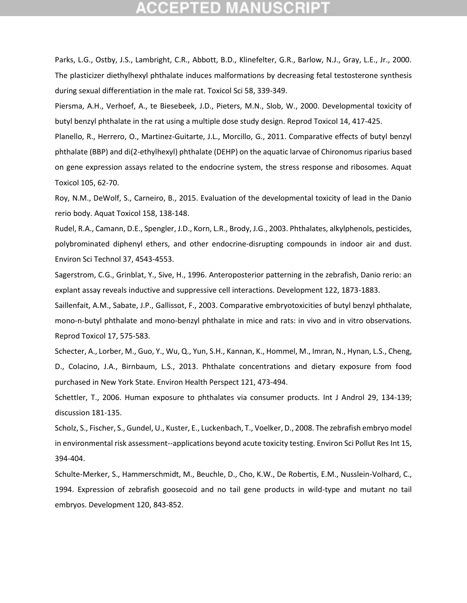## PTED

<span id="page-16-4"></span>Parks, L.G., Ostby, J.S., Lambright, C.R., Abbott, B.D., Klinefelter, G.R., Barlow, N.J., Gray, L.E., Jr., 2000. The plasticizer diethylhexyl phthalate induces malformations by decreasing fetal testosterone synthesis during sexual differentiation in the male rat. Toxicol Sci 58, 339-349.

<span id="page-16-5"></span>Piersma, A.H., Verhoef, A., te Biesebeek, J.D., Pieters, M.N., Slob, W., 2000. Developmental toxicity of butyl benzyl phthalate in the rat using a multiple dose study design. Reprod Toxicol 14, 417-425.

<span id="page-16-3"></span>Planello, R., Herrero, O., Martinez-Guitarte, J.L., Morcillo, G., 2011. Comparative effects of butyl benzyl phthalate (BBP) and di(2-ethylhexyl) phthalate (DEHP) on the aquatic larvae of Chironomus riparius based on gene expression assays related to the endocrine system, the stress response and ribosomes. Aquat Toxicol 105, 62-70.

<span id="page-16-7"></span>Roy, N.M., DeWolf, S., Carneiro, B., 2015. Evaluation of the developmental toxicity of lead in the Danio rerio body. Aquat Toxicol 158, 138-148.

<span id="page-16-2"></span>Rudel, R.A., Camann, D.E., Spengler, J.D., Korn, L.R., Brody, J.G., 2003. Phthalates, alkylphenols, pesticides, polybrominated diphenyl ethers, and other endocrine-disrupting compounds in indoor air and dust. Environ Sci Technol 37, 4543-4553.

<span id="page-16-8"></span>Sagerstrom, C.G., Grinblat, Y., Sive, H., 1996. Anteroposterior patterning in the zebrafish, Danio rerio: an explant assay reveals inductive and suppressive cell interactions. Development 122, 1873-1883.

<span id="page-16-6"></span>Saillenfait, A.M., Sabate, J.P., Gallissot, F., 2003. Comparative embryotoxicities of butyl benzyl phthalate, mono-n-butyl phthalate and mono-benzyl phthalate in mice and rats: in vivo and in vitro observations. Reprod Toxicol 17, 575-583.

<span id="page-16-1"></span>Schecter, A., Lorber, M., Guo, Y., Wu, Q., Yun, S.H., Kannan, K., Hommel, M., Imran, N., Hynan, L.S., Cheng, D., Colacino, J.A., Birnbaum, L.S., 2013. Phthalate concentrations and dietary exposure from food purchased in New York State. Environ Health Perspect 121, 473-494.

<span id="page-16-0"></span>Schettler, T., 2006. Human exposure to phthalates via consumer products. Int J Androl 29, 134-139; discussion 181-135.

<span id="page-16-10"></span>Scholz, S., Fischer, S., Gundel, U., Kuster, E., Luckenbach, T., Voelker, D., 2008. The zebrafish embryo model in environmental risk assessment--applications beyond acute toxicity testing. Environ Sci Pollut Res Int 15, 394-404.

<span id="page-16-9"></span>Schulte-Merker, S., Hammerschmidt, M., Beuchle, D., Cho, K.W., De Robertis, E.M., Nusslein-Volhard, C., 1994. Expression of zebrafish goosecoid and no tail gene products in wild-type and mutant no tail embryos. Development 120, 843-852.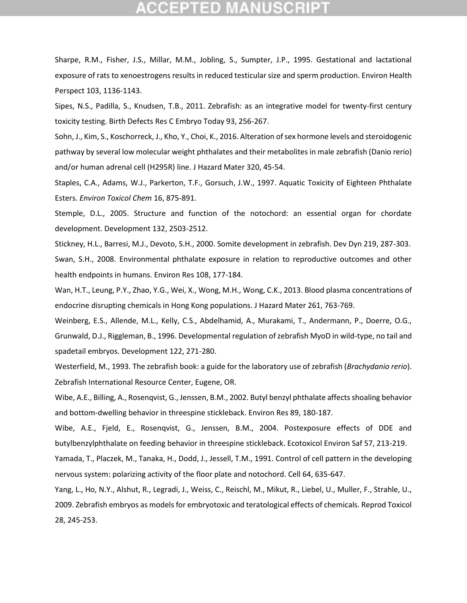## GEPTED

<span id="page-17-4"></span>Sharpe, R.M., Fisher, J.S., Millar, M.M., Jobling, S., Sumpter, J.P., 1995. Gestational and lactational exposure of rats to xenoestrogens results in reduced testicular size and sperm production. Environ Health Perspect 103, 1136-1143.

<span id="page-17-12"></span>Sipes, N.S., Padilla, S., Knudsen, T.B., 2011. Zebrafish: as an integrative model for twenty-first century toxicity testing. Birth Defects Res C Embryo Today 93, 256-267.

<span id="page-17-5"></span>Sohn, J., Kim, S., Koschorreck, J., Kho, Y., Choi, K., 2016. Alteration of sex hormone levels and steroidogenic pathway by several low molecular weight phthalates and their metabolites in male zebrafish (Danio rerio) and/or human adrenal cell (H295R) line. J Hazard Mater 320, 45-54.

<span id="page-17-1"></span>Staples, C.A., Adams, W.J., Parkerton, T.F., Gorsuch, J.W., 1997. Aquatic Toxicity of Eighteen Phthalate Esters. *Environ Toxicol Chem* 16, 875-891.

<span id="page-17-9"></span>Stemple, D.L., 2005. Structure and function of the notochord: an essential organ for chordate development. Development 132, 2503-2512.

<span id="page-17-11"></span><span id="page-17-3"></span>Stickney, H.L., Barresi, M.J., Devoto, S.H., 2000. Somite development in zebrafish. Dev Dyn 219, 287-303. Swan, S.H., 2008. Environmental phthalate exposure in relation to reproductive outcomes and other health endpoints in humans. Environ Res 108, 177-184.

<span id="page-17-2"></span>Wan, H.T., Leung, P.Y., Zhao, Y.G., Wei, X., Wong, M.H., Wong, C.K., 2013. Blood plasma concentrations of endocrine disrupting chemicals in Hong Kong populations. J Hazard Mater 261, 763-769.

<span id="page-17-10"></span>Weinberg, E.S., Allende, M.L., Kelly, C.S., Abdelhamid, A., Murakami, T., Andermann, P., Doerre, O.G., Grunwald, D.J., Riggleman, B., 1996. Developmental regulation of zebrafish MyoD in wild-type, no tail and spadetail embryos. Development 122, 271-280.

<span id="page-17-7"></span>Westerfield, M., 1993. The zebrafish book: a guide for the laboratory use of zebrafish (*Brachydanio rerio*). Zebrafish International Resource Center, Eugene, OR.

<span id="page-17-0"></span>Wibe, A.E., Billing, A., Rosenqvist, G., Jenssen, B.M., 2002. Butyl benzyl phthalate affects shoaling behavior and bottom-dwelling behavior in threespine stickleback. Environ Res 89, 180-187.

<span id="page-17-6"></span>Wibe, A.E., Fjeld, E., Rosenqvist, G., Jenssen, B.M., 2004. Postexposure effects of DDE and butylbenzylphthalate on feeding behavior in threespine stickleback. Ecotoxicol Environ Saf 57, 213-219.

<span id="page-17-8"></span>Yamada, T., Placzek, M., Tanaka, H., Dodd, J., Jessell, T.M., 1991. Control of cell pattern in the developing nervous system: polarizing activity of the floor plate and notochord. Cell 64, 635-647.

<span id="page-17-13"></span>Yang, L., Ho, N.Y., Alshut, R., Legradi, J., Weiss, C., Reischl, M., Mikut, R., Liebel, U., Muller, F., Strahle, U., 2009. Zebrafish embryos as models for embryotoxic and teratological effects of chemicals. Reprod Toxicol 28, 245-253.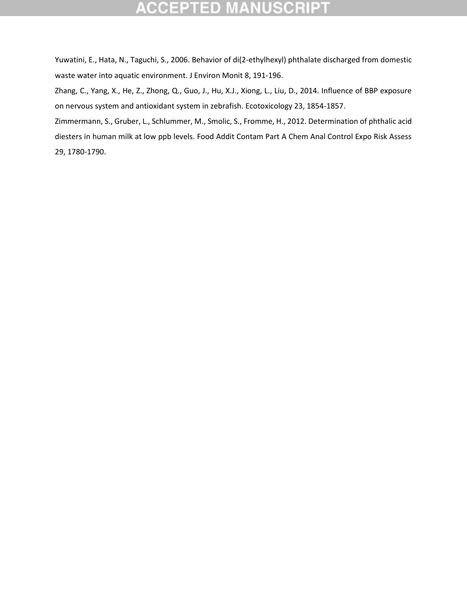#### TED **NUSCR**

<span id="page-18-0"></span>Yuwatini, E., Hata, N., Taguchi, S., 2006. Behavior of di(2-ethylhexyl) phthalate discharged from domestic waste water into aquatic environment. J Environ Monit 8, 191-196.

<span id="page-18-2"></span>Zhang, C., Yang, X., He, Z., Zhong, Q., Guo, J., Hu, X.J., Xiong, L., Liu, D., 2014. Influence of BBP exposure on nervous system and antioxidant system in zebrafish. Ecotoxicology 23, 1854-1857.

<span id="page-18-1"></span>Zimmermann, S., Gruber, L., Schlummer, M., Smolic, S., Fromme, H., 2012. Determination of phthalic acid diesters in human milk at low ppb levels. Food Addit Contam Part A Chem Anal Control Expo Risk Assess 29, 1780-1790.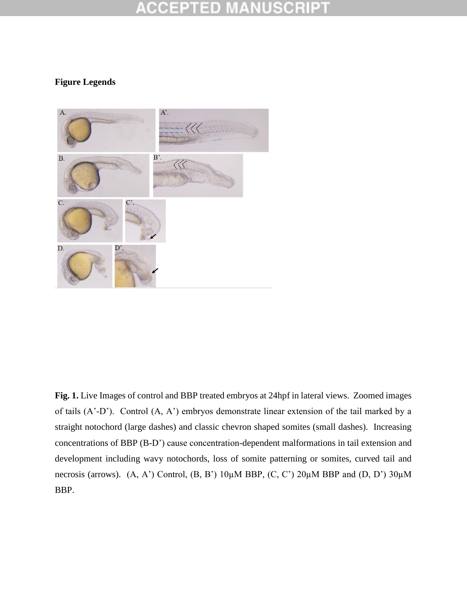#### COEP 10

### **Figure Legends**



**Fig. 1.** Live Images of control and BBP treated embryos at 24hpf in lateral views. Zoomed images of tails (A'-D'). Control (A, A') embryos demonstrate linear extension of the tail marked by a straight notochord (large dashes) and classic chevron shaped somites (small dashes). Increasing concentrations of BBP (B-D') cause concentration-dependent malformations in tail extension and development including wavy notochords, loss of somite patterning or somites, curved tail and necrosis (arrows).  $(A, A')$  Control,  $(B, B')$  10 $\mu$ M BBP,  $(C, C')$  20 $\mu$ M BBP and  $(D, D')$  30 $\mu$ M BBP.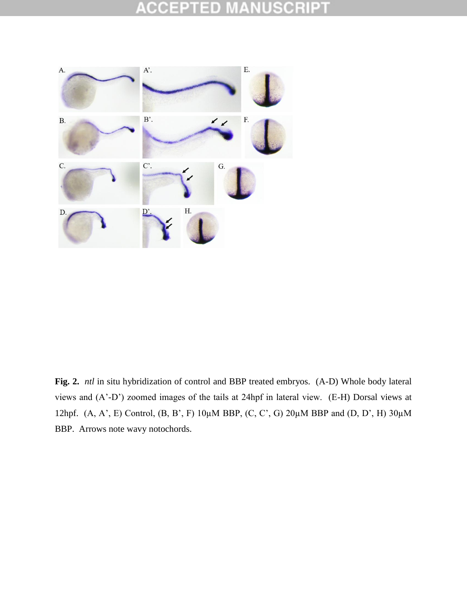#### **ISCRIPT ACCEPT**  $\Box$ D U



**Fig. 2.** *ntl* in situ hybridization of control and BBP treated embryos. (A-D) Whole body lateral views and (A'-D') zoomed images of the tails at 24hpf in lateral view. (E-H) Dorsal views at 12hpf. (A, A', E) Control, (B, B', F) 10µM BBP, (C, C', G) 20µM BBP and (D, D', H) 30µM BBP. Arrows note wavy notochords.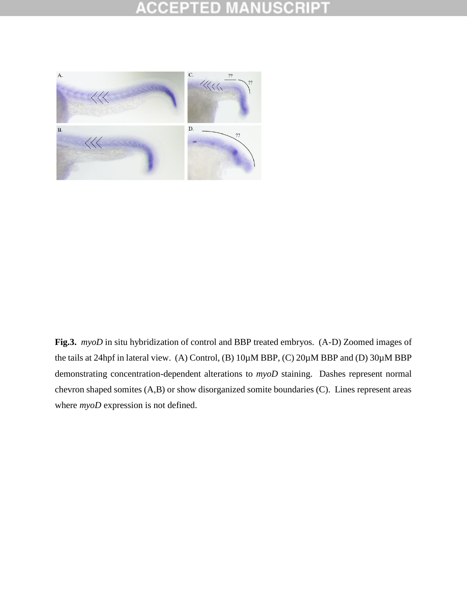#### SCRII Ŧ CCEP  $\Box$  D



**Fig.3.** *myoD* in situ hybridization of control and BBP treated embryos. (A-D) Zoomed images of the tails at 24hpf in lateral view. (A) Control, (B) 10µM BBP, (C) 20µM BBP and (D) 30µM BBP demonstrating concentration-dependent alterations to *myoD* staining. Dashes represent normal chevron shaped somites (A,B) or show disorganized somite boundaries (C). Lines represent areas where *myoD* expression is not defined.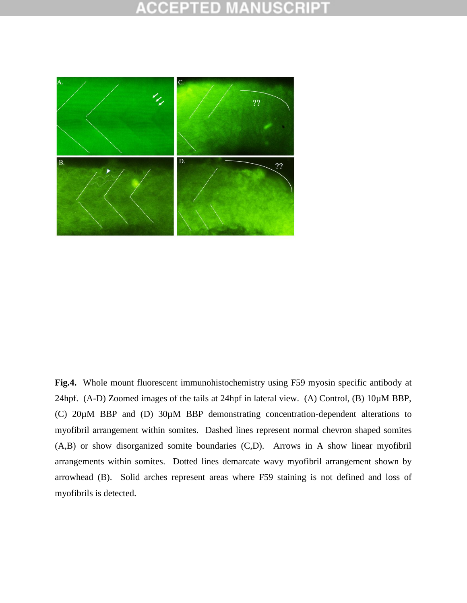#### CCEPT  $\Box$  D



**Fig.4.** Whole mount fluorescent immunohistochemistry using F59 myosin specific antibody at 24hpf. (A-D) Zoomed images of the tails at 24hpf in lateral view. (A) Control, (B) 10 $\mu$ M BBP, (C) 20µM BBP and (D) 30µM BBP demonstrating concentration-dependent alterations to myofibril arrangement within somites. Dashed lines represent normal chevron shaped somites (A,B) or show disorganized somite boundaries (C,D). Arrows in A show linear myofibril arrangements within somites. Dotted lines demarcate wavy myofibril arrangement shown by arrowhead (B). Solid arches represent areas where F59 staining is not defined and loss of myofibrils is detected.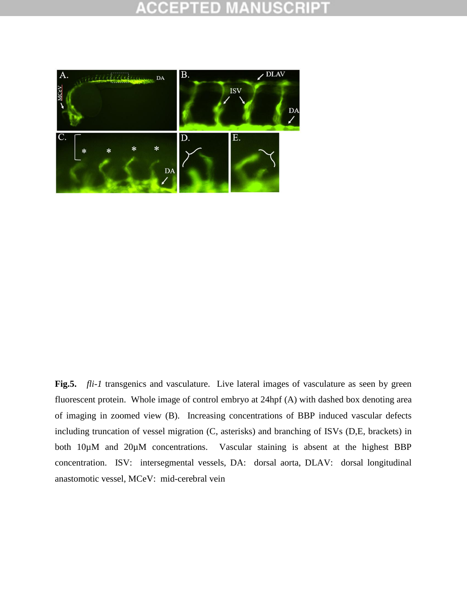

**Fig.5.** *fli-1* transgenics and vasculature. Live lateral images of vasculature as seen by green fluorescent protein. Whole image of control embryo at 24hpf (A) with dashed box denoting area of imaging in zoomed view (B). Increasing concentrations of BBP induced vascular defects including truncation of vessel migration (C, asterisks) and branching of ISVs (D,E, brackets) in both 10µM and 20µM concentrations. Vascular staining is absent at the highest BBP concentration. ISV: intersegmental vessels, DA: dorsal aorta, DLAV: dorsal longitudinal anastomotic vessel, MCeV: mid-cerebral vein